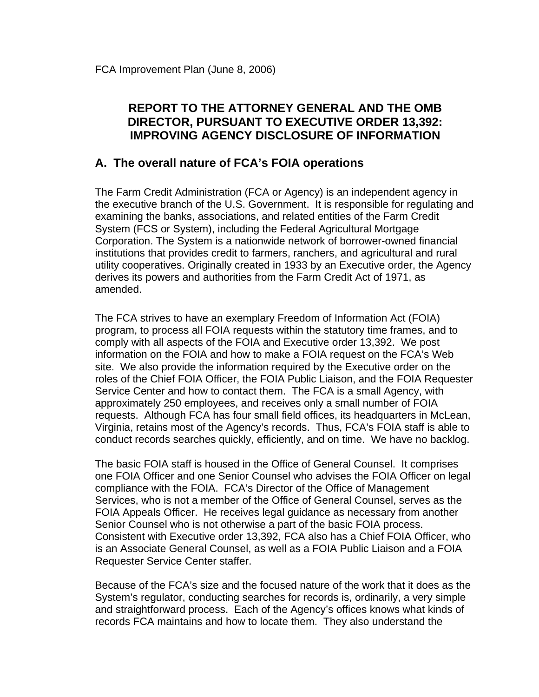### **REPORT TO THE ATTORNEY GENERAL AND THE OMB DIRECTOR, PURSUANT TO EXECUTIVE ORDER 13,392: IMPROVING AGENCY DISCLOSURE OF INFORMATION**

#### **A. The overall nature of FCA's FOIA operations**

The Farm Credit Administration (FCA or Agency) is an independent agency in the executive branch of the U.S. Government. It is responsible for regulating and examining the banks, associations, and related entities of the Farm Credit System (FCS or System), including the [Federal Agricultural Mortgage](http://www.farmermac.com/)  [Corporation.](http://www.farmermac.com/) The System is a nationwide network of borrower-owned financial institutions that provides credit to farmers, ranchers, and agricultural and rural utility cooperatives. Originally created in 1933 by an Executive order, the Agency derives its powers and authorities from the Farm Credit Act of 1971, as amended.

The FCA strives to have an exemplary Freedom of Information Act (FOIA) program, to process all FOIA requests within the statutory time frames, and to comply with all aspects of the FOIA and Executive order 13,392. We post information on the FOIA and how to make a FOIA request on the FCA's Web site. We also provide the information required by the Executive order on the roles of the Chief FOIA Officer, the FOIA Public Liaison, and the FOIA Requester Service Center and how to contact them. The FCA is a small Agency, with approximately 250 employees, and receives only a small number of FOIA requests. Although FCA has four small field offices, its headquarters in McLean, Virginia, retains most of the Agency's records. Thus, FCA's FOIA staff is able to conduct records searches quickly, efficiently, and on time. We have no backlog.

The basic FOIA staff is housed in the Office of General Counsel. It comprises one FOIA Officer and one Senior Counsel who advises the FOIA Officer on legal compliance with the FOIA. FCA's Director of the Office of Management Services, who is not a member of the Office of General Counsel, serves as the FOIA Appeals Officer. He receives legal guidance as necessary from another Senior Counsel who is not otherwise a part of the basic FOIA process. Consistent with Executive order 13,392, FCA also has a Chief FOIA Officer, who is an Associate General Counsel, as well as a FOIA Public Liaison and a FOIA Requester Service Center staffer.

Because of the FCA's size and the focused nature of the work that it does as the System's regulator, conducting searches for records is, ordinarily, a very simple and straightforward process. Each of the Agency's offices knows what kinds of records FCA maintains and how to locate them. They also understand the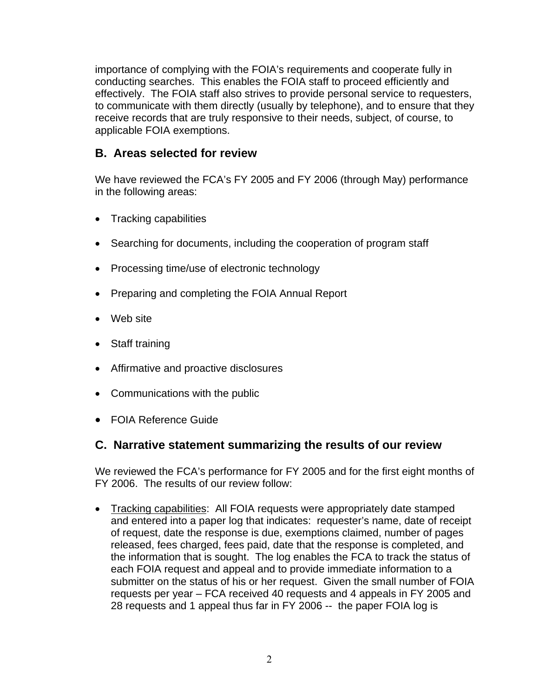importance of complying with the FOIA's requirements and cooperate fully in conducting searches. This enables the FOIA staff to proceed efficiently and effectively. The FOIA staff also strives to provide personal service to requesters, to communicate with them directly (usually by telephone), and to ensure that they receive records that are truly responsive to their needs, subject, of course, to applicable FOIA exemptions.

## **B. Areas selected for review**

We have reviewed the FCA's FY 2005 and FY 2006 (through May) performance in the following areas:

- Tracking capabilities
- Searching for documents, including the cooperation of program staff
- Processing time/use of electronic technology
- Preparing and completing the FOIA Annual Report
- Web site
- Staff training
- Affirmative and proactive disclosures
- Communications with the public
- FOIA Reference Guide

### **C. Narrative statement summarizing the results of our review**

We reviewed the FCA's performance for FY 2005 and for the first eight months of FY 2006. The results of our review follow:

• Tracking capabilities: All FOIA requests were appropriately date stamped and entered into a paper log that indicates: requester's name, date of receipt of request, date the response is due, exemptions claimed, number of pages released, fees charged, fees paid, date that the response is completed, and the information that is sought. The log enables the FCA to track the status of each FOIA request and appeal and to provide immediate information to a submitter on the status of his or her request. Given the small number of FOIA requests per year – FCA received 40 requests and 4 appeals in FY 2005 and 28 requests and 1 appeal thus far in FY 2006 -- the paper FOIA log is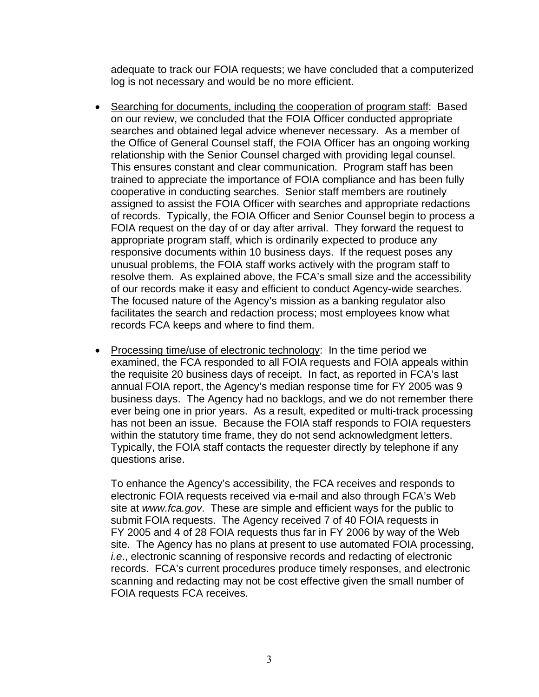adequate to track our FOIA requests; we have concluded that a computerized log is not necessary and would be no more efficient.

- Searching for documents, including the cooperation of program staff: Based on our review, we concluded that the FOIA Officer conducted appropriate searches and obtained legal advice whenever necessary. As a member of the Office of General Counsel staff, the FOIA Officer has an ongoing working relationship with the Senior Counsel charged with providing legal counsel. This ensures constant and clear communication. Program staff has been trained to appreciate the importance of FOIA compliance and has been fully cooperative in conducting searches. Senior staff members are routinely assigned to assist the FOIA Officer with searches and appropriate redactions of records. Typically, the FOIA Officer and Senior Counsel begin to process a FOIA request on the day of or day after arrival. They forward the request to appropriate program staff, which is ordinarily expected to produce any responsive documents within 10 business days. If the request poses any unusual problems, the FOIA staff works actively with the program staff to resolve them. As explained above, the FCA's small size and the accessibility of our records make it easy and efficient to conduct Agency-wide searches. The focused nature of the Agency's mission as a banking regulator also facilitates the search and redaction process; most employees know what records FCA keeps and where to find them.
- Processing time/use of electronic technology: In the time period we examined, the FCA responded to all FOIA requests and FOIA appeals within the requisite 20 business days of receipt. In fact, as reported in FCA's last annual FOIA report, the Agency's median response time for FY 2005 was 9 business days. The Agency had no backlogs, and we do not remember there ever being one in prior years. As a result, expedited or multi-track processing has not been an issue. Because the FOIA staff responds to FOIA requesters within the statutory time frame, they do not send acknowledgment letters. Typically, the FOIA staff contacts the requester directly by telephone if any questions arise.

To enhance the Agency's accessibility, the FCA receives and responds to electronic FOIA requests received via e-mail and also through FCA's Web site at *www.fca.gov*. These are simple and efficient ways for the public to submit FOIA requests. The Agency received 7 of 40 FOIA requests in FY 2005 and 4 of 28 FOIA requests thus far in FY 2006 by way of the Web site. The Agency has no plans at present to use automated FOIA processing, *i.e*., electronic scanning of responsive records and redacting of electronic records. FCA's current procedures produce timely responses, and electronic scanning and redacting may not be cost effective given the small number of FOIA requests FCA receives.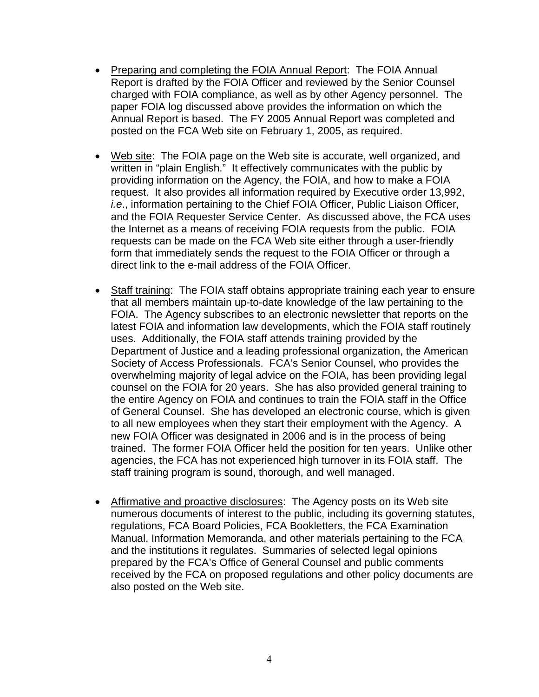- Preparing and completing the FOIA Annual Report: The FOIA Annual Report is drafted by the FOIA Officer and reviewed by the Senior Counsel charged with FOIA compliance, as well as by other Agency personnel. The paper FOIA log discussed above provides the information on which the Annual Report is based. The FY 2005 Annual Report was completed and posted on the FCA Web site on February 1, 2005, as required.
- Web site: The FOIA page on the Web site is accurate, well organized, and written in "plain English." It effectively communicates with the public by providing information on the Agency, the FOIA, and how to make a FOIA request. It also provides all information required by Executive order 13,992, *i.e*., information pertaining to the Chief FOIA Officer, Public Liaison Officer, and the FOIA Requester Service Center. As discussed above, the FCA uses the Internet as a means of receiving FOIA requests from the public. FOIA requests can be made on the FCA Web site either through a user-friendly form that immediately sends the request to the FOIA Officer or through a direct link to the e-mail address of the FOIA Officer.
- Staff training: The FOIA staff obtains appropriate training each year to ensure that all members maintain up-to-date knowledge of the law pertaining to the FOIA. The Agency subscribes to an electronic newsletter that reports on the latest FOIA and information law developments, which the FOIA staff routinely uses. Additionally, the FOIA staff attends training provided by the Department of Justice and a leading professional organization, the American Society of Access Professionals. FCA's Senior Counsel, who provides the overwhelming majority of legal advice on the FOIA, has been providing legal counsel on the FOIA for 20 years. She has also provided general training to the entire Agency on FOIA and continues to train the FOIA staff in the Office of General Counsel. She has developed an electronic course, which is given to all new employees when they start their employment with the Agency. A new FOIA Officer was designated in 2006 and is in the process of being trained. The former FOIA Officer held the position for ten years. Unlike other agencies, the FCA has not experienced high turnover in its FOIA staff. The staff training program is sound, thorough, and well managed.
- Affirmative and proactive disclosures: The Agency posts on its Web site numerous documents of interest to the public, including its governing statutes, regulations, FCA Board Policies, FCA Bookletters, the FCA Examination Manual, Information Memoranda, and other materials pertaining to the FCA and the institutions it regulates. Summaries of selected legal opinions prepared by the FCA's Office of General Counsel and public comments received by the FCA on proposed regulations and other policy documents are also posted on the Web site.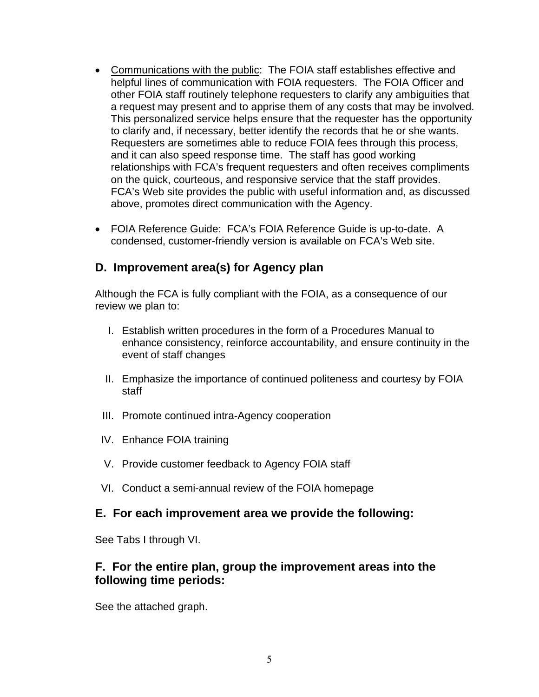- Communications with the public: The FOIA staff establishes effective and helpful lines of communication with FOIA requesters. The FOIA Officer and other FOIA staff routinely telephone requesters to clarify any ambiguities that a request may present and to apprise them of any costs that may be involved. This personalized service helps ensure that the requester has the opportunity to clarify and, if necessary, better identify the records that he or she wants. Requesters are sometimes able to reduce FOIA fees through this process, and it can also speed response time. The staff has good working relationships with FCA's frequent requesters and often receives compliments on the quick, courteous, and responsive service that the staff provides. FCA's Web site provides the public with useful information and, as discussed above, promotes direct communication with the Agency.
- FOIA Reference Guide: FCA's FOIA Reference Guide is up-to-date. A condensed, customer-friendly version is available on FCA's Web site.

# **D. Improvement area(s) for Agency plan**

Although the FCA is fully compliant with the FOIA, as a consequence of our review we plan to:

- I. Establish written procedures in the form of a Procedures Manual to enhance consistency, reinforce accountability, and ensure continuity in the event of staff changes
- II. Emphasize the importance of continued politeness and courtesy by FOIA staff
- III. Promote continued intra-Agency cooperation
- IV. Enhance FOIA training
- V. Provide customer feedback to Agency FOIA staff
- VI. Conduct a semi-annual review of the FOIA homepage

#### **E. For each improvement area we provide the following:**

See Tabs I through VI.

#### **F. For the entire plan, group the improvement areas into the following time periods:**

See the attached graph.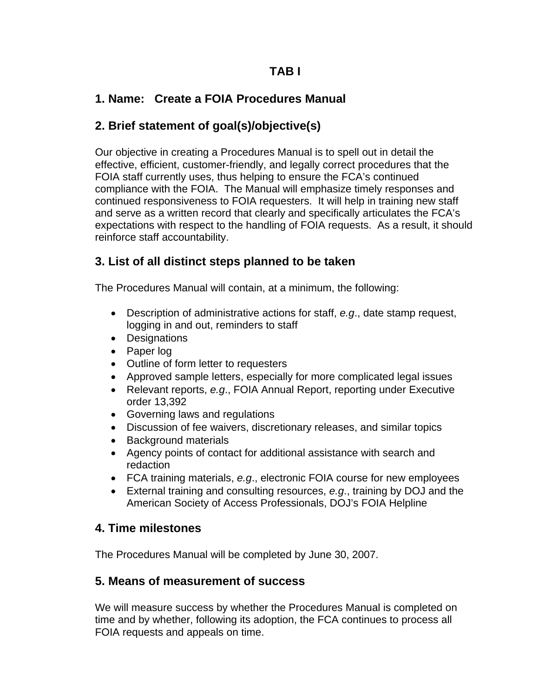## **TAB I**

## **1. Name: Create a FOIA Procedures Manual**

## **2. Brief statement of goal(s)/objective(s)**

Our objective in creating a Procedures Manual is to spell out in detail the effective, efficient, customer-friendly, and legally correct procedures that the FOIA staff currently uses, thus helping to ensure the FCA's continued compliance with the FOIA. The Manual will emphasize timely responses and continued responsiveness to FOIA requesters. It will help in training new staff and serve as a written record that clearly and specifically articulates the FCA's expectations with respect to the handling of FOIA requests. As a result, it should reinforce staff accountability.

## **3. List of all distinct steps planned to be taken**

The Procedures Manual will contain, at a minimum, the following:

- Description of administrative actions for staff, *e.g*., date stamp request, logging in and out, reminders to staff
- Designations
- Paper log
- Outline of form letter to requesters
- Approved sample letters, especially for more complicated legal issues
- Relevant reports, *e.g*., FOIA Annual Report, reporting under Executive order 13,392
- Governing laws and regulations
- Discussion of fee waivers, discretionary releases, and similar topics
- Background materials
- Agency points of contact for additional assistance with search and redaction
- FCA training materials, *e.g*., electronic FOIA course for new employees
- External training and consulting resources, *e.g*., training by DOJ and the American Society of Access Professionals, DOJ's FOIA Helpline

### **4. Time milestones**

The Procedures Manual will be completed by June 30, 2007.

### **5. Means of measurement of success**

We will measure success by whether the Procedures Manual is completed on time and by whether, following its adoption, the FCA continues to process all FOIA requests and appeals on time.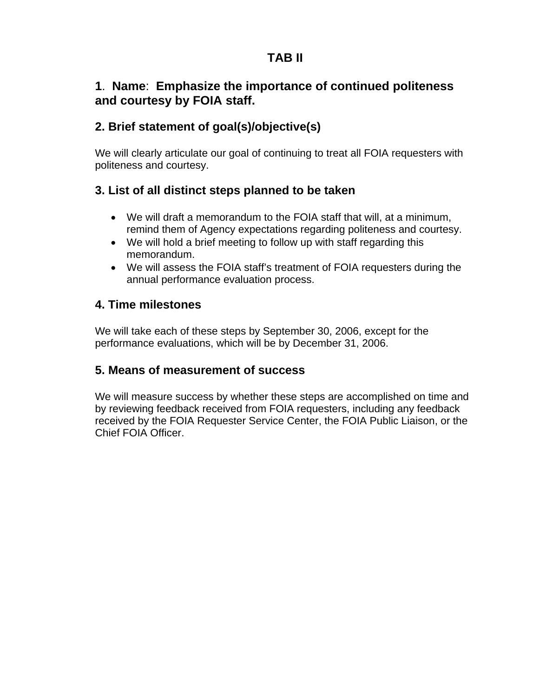# **TAB II**

# **1**. **Name**: **Emphasize the importance of continued politeness and courtesy by FOIA staff.**

## **2. Brief statement of goal(s)/objective(s)**

We will clearly articulate our goal of continuing to treat all FOIA requesters with politeness and courtesy.

## **3. List of all distinct steps planned to be taken**

- We will draft a memorandum to the FOIA staff that will, at a minimum, remind them of Agency expectations regarding politeness and courtesy.
- We will hold a brief meeting to follow up with staff regarding this memorandum.
- We will assess the FOIA staff's treatment of FOIA requesters during the annual performance evaluation process.

## **4. Time milestones**

We will take each of these steps by September 30, 2006, except for the performance evaluations, which will be by December 31, 2006.

### **5. Means of measurement of success**

We will measure success by whether these steps are accomplished on time and by reviewing feedback received from FOIA requesters, including any feedback received by the FOIA Requester Service Center, the FOIA Public Liaison, or the Chief FOIA Officer.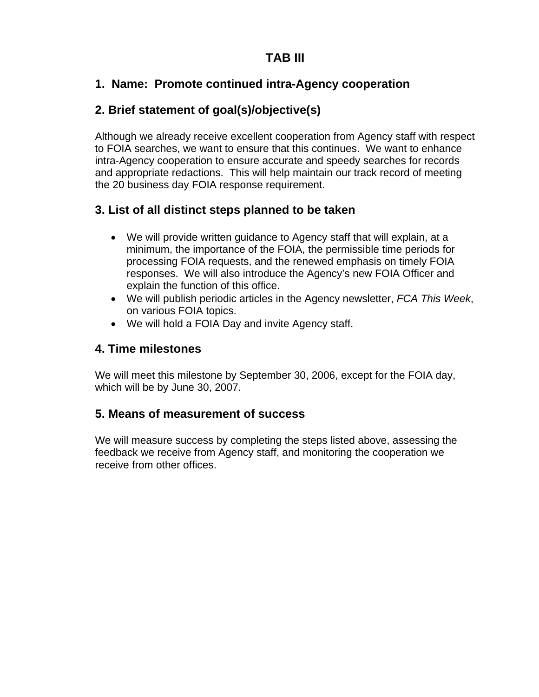# **TAB III**

## **1. Name: Promote continued intra-Agency cooperation**

## **2. Brief statement of goal(s)/objective(s)**

Although we already receive excellent cooperation from Agency staff with respect to FOIA searches, we want to ensure that this continues. We want to enhance intra-Agency cooperation to ensure accurate and speedy searches for records and appropriate redactions. This will help maintain our track record of meeting the 20 business day FOIA response requirement.

## **3. List of all distinct steps planned to be taken**

- We will provide written guidance to Agency staff that will explain, at a minimum, the importance of the FOIA, the permissible time periods for processing FOIA requests, and the renewed emphasis on timely FOIA responses. We will also introduce the Agency's new FOIA Officer and explain the function of this office.
- We will publish periodic articles in the Agency newsletter, *FCA This Week*, on various FOIA topics.
- We will hold a FOIA Day and invite Agency staff.

### **4. Time milestones**

We will meet this milestone by September 30, 2006, except for the FOIA day, which will be by June 30, 2007.

### **5. Means of measurement of success**

We will measure success by completing the steps listed above, assessing the feedback we receive from Agency staff, and monitoring the cooperation we receive from other offices.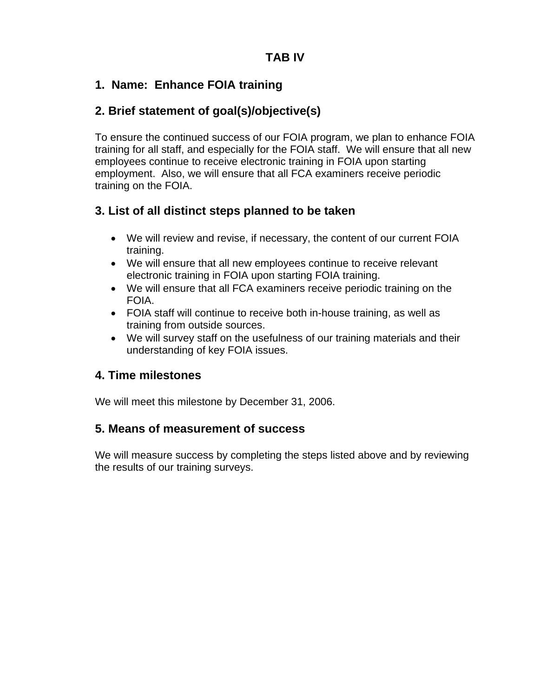## **1. Name: Enhance FOIA training**

# **2. Brief statement of goal(s)/objective(s)**

To ensure the continued success of our FOIA program, we plan to enhance FOIA training for all staff, and especially for the FOIA staff. We will ensure that all new employees continue to receive electronic training in FOIA upon starting employment. Also, we will ensure that all FCA examiners receive periodic training on the FOIA.

# **3. List of all distinct steps planned to be taken**

- We will review and revise, if necessary, the content of our current FOIA training.
- We will ensure that all new employees continue to receive relevant electronic training in FOIA upon starting FOIA training.
- We will ensure that all FCA examiners receive periodic training on the FOIA.
- FOIA staff will continue to receive both in-house training, as well as training from outside sources.
- We will survey staff on the usefulness of our training materials and their understanding of key FOIA issues.

### **4. Time milestones**

We will meet this milestone by December 31, 2006.

### **5. Means of measurement of success**

We will measure success by completing the steps listed above and by reviewing the results of our training surveys.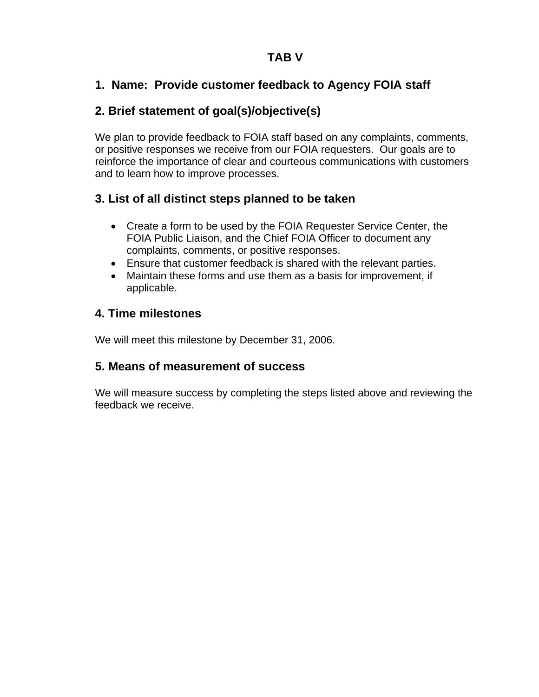## **TAB V**

## **1. Name: Provide customer feedback to Agency FOIA staff**

# **2. Brief statement of goal(s)/objective(s)**

We plan to provide feedback to FOIA staff based on any complaints, comments, or positive responses we receive from our FOIA requesters. Our goals are to reinforce the importance of clear and courteous communications with customers and to learn how to improve processes.

## **3. List of all distinct steps planned to be taken**

- Create a form to be used by the FOIA Requester Service Center, the FOIA Public Liaison, and the Chief FOIA Officer to document any complaints, comments, or positive responses.
- Ensure that customer feedback is shared with the relevant parties.
- Maintain these forms and use them as a basis for improvement, if applicable.

## **4. Time milestones**

We will meet this milestone by December 31, 2006.

# **5. Means of measurement of success**

We will measure success by completing the steps listed above and reviewing the feedback we receive.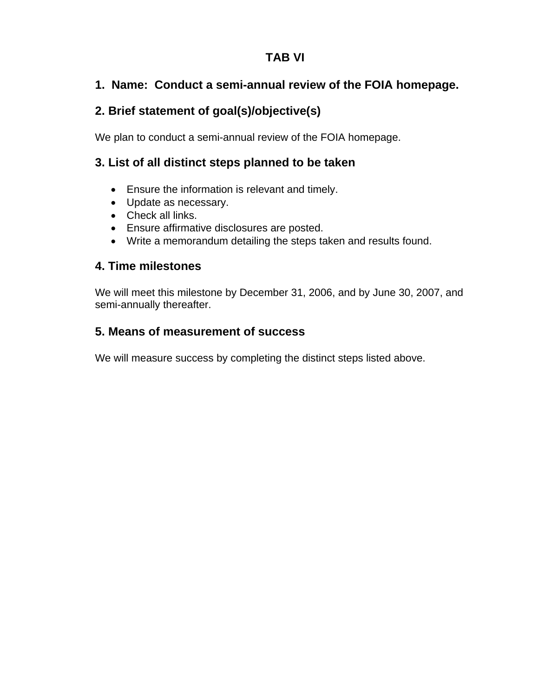# **TAB VI**

# **1. Name: Conduct a semi-annual review of the FOIA homepage.**

# **2. Brief statement of goal(s)/objective(s)**

We plan to conduct a semi-annual review of the FOIA homepage.

## **3. List of all distinct steps planned to be taken**

- Ensure the information is relevant and timely.
- Update as necessary.
- Check all links.
- Ensure affirmative disclosures are posted.
- Write a memorandum detailing the steps taken and results found.

## **4. Time milestones**

We will meet this milestone by December 31, 2006, and by June 30, 2007, and semi-annually thereafter.

# **5. Means of measurement of success**

We will measure success by completing the distinct steps listed above.